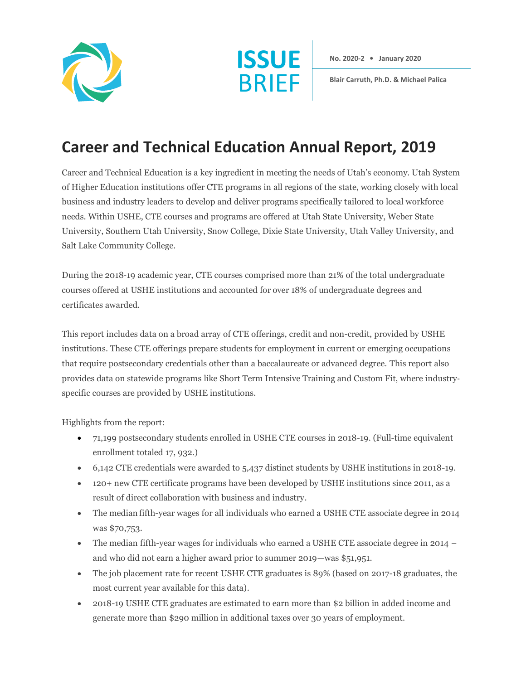



**No. 2020-2 • January 2020**

**Blair Carruth, Ph.D. & Michael Palica**

## **Career and Technical Education Annual Report, 2019**

Career and Technical Education is a key ingredient in meeting the needs of Utah's economy. Utah System of Higher Education institutions offer CTE programs in all regions of the state, working closely with local business and industry leaders to develop and deliver programs specifically tailored to local workforce needs. Within USHE, CTE courses and programs are offered at Utah State University, Weber State University, Southern Utah University, Snow College, Dixie State University, Utah Valley University, and Salt Lake Community College.

During the 2018‐19 academic year, CTE courses comprised more than 21% of the total undergraduate courses offered at USHE institutions and accounted for over 18% of undergraduate degrees and certificates awarded.

This report includes data on a broad array of CTE offerings, credit and non-credit, provided by USHE institutions. These CTE offerings prepare students for employment in current or emerging occupations that require postsecondary credentials other than a baccalaureate or advanced degree. This report also provides data on statewide programs like Short Term Intensive Training and Custom Fit, where industry‐ specific courses are provided by USHE institutions.

Highlights from the report:

- 71,199 postsecondary students enrolled in USHE CTE courses in 2018-19. (Full-time equivalent enrollment totaled 17, 932.)
- 6,142 CTE credentials were awarded to 5,437 distinct students by USHE institutions in 2018-19.
- 120+ new CTE certificate programs have been developed by USHE institutions since 2011, as a result of direct collaboration with business and industry.
- The median fifth-year wages for all individuals who earned a USHE CTE associate degree in 2014 was \$70,753.
- The median fifth-year wages for individuals who earned a USHE CTE associate degree in 2014 and who did not earn a higher award prior to summer 2019—was \$51,951.
- The job placement rate for recent USHE CTE graduates is 89% (based on 2017-18 graduates, the most current year available for this data).
- 2018-19 USHE CTE graduates are estimated to earn more than \$2 billion in added income and generate more than \$290 million in additional taxes over 30 years of employment.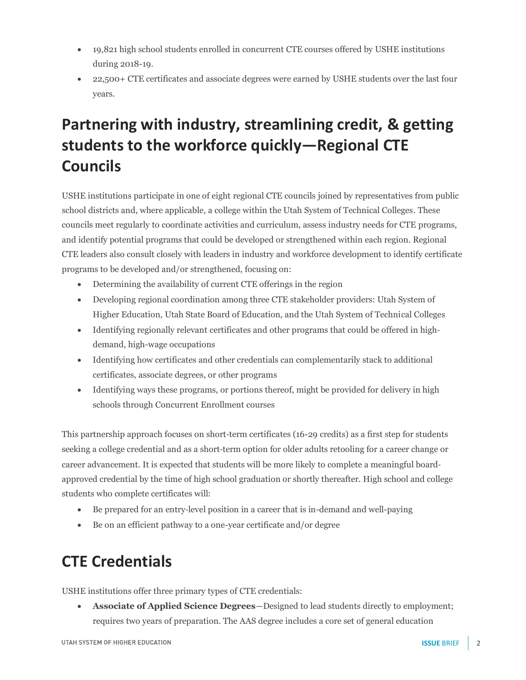- 19,821 high school students enrolled in concurrent CTE courses offered by USHE institutions during 2018-19.
- 22,500+ CTE certificates and associate degrees were earned by USHE students over the last four years.

# **Partnering with industry, streamlining credit, & getting students to the workforce quickly—Regional CTE Councils**

USHE institutions participate in one of eight regional CTE councils joined by representatives from public school districts and, where applicable, a college within the Utah System of Technical Colleges. These councils meet regularly to coordinate activities and curriculum, assess industry needs for CTE programs, and identify potential programs that could be developed or strengthened within each region. Regional CTE leaders also consult closely with leaders in industry and workforce development to identify certificate programs to be developed and/or strengthened, focusing on:

- Determining the availability of current CTE offerings in the region
- Developing regional coordination among three CTE stakeholder providers: Utah System of Higher Education, Utah State Board of Education, and the Utah System of Technical Colleges
- Identifying regionally relevant certificates and other programs that could be offered in highdemand, high-wage occupations
- Identifying how certificates and other credentials can complementarily stack to additional certificates, associate degrees, or other programs
- Identifying ways these programs, or portions thereof, might be provided for delivery in high schools through Concurrent Enrollment courses

This partnership approach focuses on short-term certificates (16-29 credits) as a first step for students seeking a college credential and as a short-term option for older adults retooling for a career change or career advancement. It is expected that students will be more likely to complete a meaningful boardapproved credential by the time of high school graduation or shortly thereafter. High school and college students who complete certificates will:

- Be prepared for an entry-level position in a career that is in-demand and well-paying
- Be on an efficient pathway to a one-year certificate and/or degree

# **CTE Credentials**

USHE institutions offer three primary types of CTE credentials:

• **Associate of Applied Science Degrees**—Designed to lead students directly to employment; requires two years of preparation. The AAS degree includes a core set of general education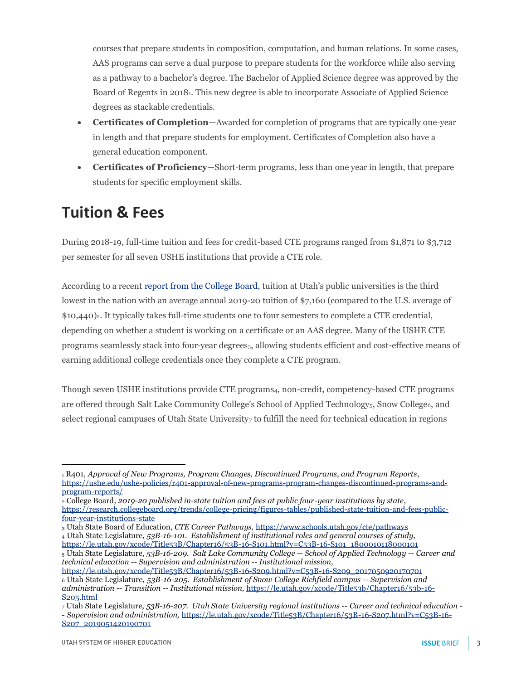courses that prepare students in composition, computation, and human relations. In some cases, AAS programs can serve a dual purpose to prepare students for the workforce while also serving as a pathway to a bachelor's degree. The Bachelor of Applied Science degree was approved by the Board of Regents in 20181. This new degree is able to incorporate Associate of Applied Science degrees as stackable credentials.

- **Certificates of Completion**—Awarded for completion of programs that are typically one-year in length and that prepare students for employment. Certificates of Completion also have a general education component.
- **Certificates of Proficiency**—Short‐term programs, less than one year in length, that prepare students for specific employment skills.

### **Tuition & Fees**

During 2018-19, full-time tuition and fees for credit-based CTE programs ranged from \$1,871 to \$3,712 per semester for all seven USHE institutions that provide a CTE role.

According to a recent [report from the College Board](https://research.collegeboard.org/trends/college-pricing/figures-tables/published-state-tuition-and-fees-public-four-year-institutions-state), tuition at Utah's public universities is the third lowest in the nation with an average annual 2019-20 tuition of \$7,160 (compared to the U.S. average of \$10,440)2. It typically takes full‐time students one to four semesters to complete a CTE credential, depending on whether a student is working on a certificate or an AAS degree. Many of the USHE CTE programs seamlessly stack into four-year degrees<sub>3</sub>, allowing students efficient and cost-effective means of earning additional college credentials once they complete a CTE program.

Though seven USHE institutions provide CTE programs4, non-credit, competency-based CTE programs are offered through Salt Lake Community College's School of Applied Technology<sub>5</sub>, Snow College<sub>6</sub>, and select regional campuses of Utah State University<sub>7</sub> to fulfill the need for technical education in regions

<sup>5</sup> Utah State Legislature, *53B-16-209. Salt Lake Community College -- School of Applied Technology -- Career and technical education -- Supervision and administration -- Institutional mission,* 

<sup>1</sup> R401, *Approval of New Programs, Program Changes, Discontinued Programs, and Program Reports,*  [https://ushe.edu/ushe-policies/r401-approval-of-new-programs-program-changes-discontinued-programs-and](https://ushe.edu/ushe-policies/r401-approval-of-new-programs-program-changes-discontinued-programs-and-program-reports/)[program-reports/](https://ushe.edu/ushe-policies/r401-approval-of-new-programs-program-changes-discontinued-programs-and-program-reports/)

<sup>2</sup> College Board*, 2019-20 published in-state tuition and fees at public four-year institutions by state*, [https://research.collegeboard.org/trends/college-pricing/figures-tables/published-state-tuition-and-fees-public](https://research.collegeboard.org/trends/college-pricing/figures-tables/published-state-tuition-and-fees-public-four-year-institutions-state)[four-year-institutions-state](https://research.collegeboard.org/trends/college-pricing/figures-tables/published-state-tuition-and-fees-public-four-year-institutions-state)

<sup>3</sup> Utah State Board of Education, *CTE Career Pathways,* <https://www.schools.utah.gov/cte/pathways> <sup>4</sup> Utah State Legislature, *53B-16-101. Establishment of institutional roles and general courses of study,* [https://le.utah.gov/xcode/Title53B/Chapter16/53B-16-S101.html?v=C53B-16-S101\\_1800010118000101](https://le.utah.gov/xcode/Title53B/Chapter16/53B-16-S101.html?v=C53B-16-S101_1800010118000101)

[https://le.utah.gov/xcode/Title53B/Chapter16/53B-16-S209.html?v=C53B-16-S209\\_2017050920170701](https://le.utah.gov/xcode/Title53B/Chapter16/53B-16-S209.html?v=C53B-16-S209_2017050920170701) <sup>6</sup> Utah State Legislature, *53B-16-205. Establishment of Snow College Richfield campus -- Supervision and administration -- Transition -- Institutional mission,* [https://le.utah.gov/xcode/Title53b/Chapter16/53b-16-](https://le.utah.gov/xcode/Title53b/Chapter16/53b-16-S205.html) [S205.html](https://le.utah.gov/xcode/Title53b/Chapter16/53b-16-S205.html)

<sup>7</sup> Utah State Legislature, *53B-16-207. Utah State University regional institutions -- Career and technical education - - Supervision and administration,* [https://le.utah.gov/xcode/Title53B/Chapter16/53B-16-S207.html?v=C53B-16-](https://le.utah.gov/xcode/Title53B/Chapter16/53B-16-S207.html?v=C53B-16-S207_2019051420190701)

[S207\\_2019051420190701](https://le.utah.gov/xcode/Title53B/Chapter16/53B-16-S207.html?v=C53B-16-S207_2019051420190701)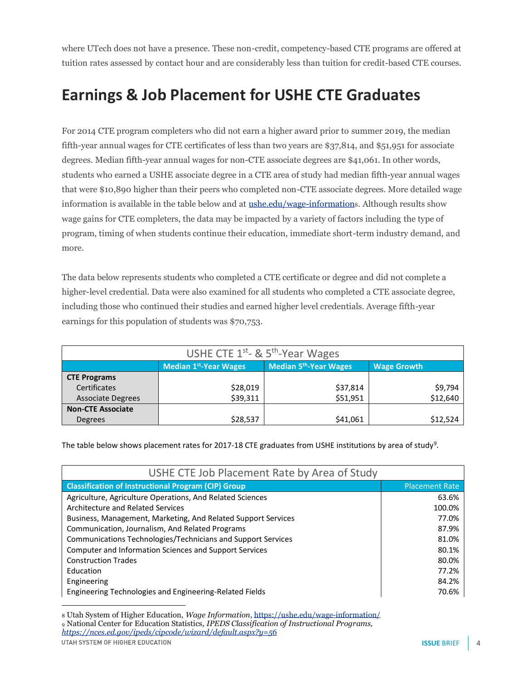where UTech does not have a presence. These non-credit, competency-based CTE programs are offered at tuition rates assessed by contact hour and are considerably less than tuition for credit-based CTE courses.

# **Earnings & Job Placement for USHE CTE Graduates**

For 2014 CTE program completers who did not earn a higher award prior to summer 2019, the median fifth-year annual wages for CTE certificates of less than two years are \$37,814, and \$51,951 for associate degrees. Median fifth-year annual wages for non-CTE associate degrees are \$41,061. In other words, students who earned a USHE associate degree in a CTE area of study had median fifth-year annual wages that were \$10,890 higher than their peers who completed non-CTE associate degrees. More detailed wage information is available in the table below and at ushe, edu/wage-informations. Although results show wage gains for CTE completers, the data may be impacted by a variety of factors including the type of program, timing of when students continue their education, immediate short-term industry demand, and more.

The data below represents students who completed a CTE certificate or degree and did not complete a higher-level credential. Data were also examined for all students who completed a CTE associate degree, including those who continued their studies and earned higher level credentials. Average fifth-year earnings for this population of students was \$70,753.

| USHE CTE $1^{st}$ - & $5^{th}$ -Year Wages |                                                                                    |          |          |  |  |  |
|--------------------------------------------|------------------------------------------------------------------------------------|----------|----------|--|--|--|
|                                            | <b>Median 5th-Year Wages</b><br><b>Median 1st-Year Wages</b><br><b>Wage Growth</b> |          |          |  |  |  |
| <b>CTE Programs</b>                        |                                                                                    |          |          |  |  |  |
| Certificates                               | \$28,019                                                                           | \$37,814 | \$9,794  |  |  |  |
| <b>Associate Degrees</b>                   | \$39,311                                                                           | \$51,951 | \$12,640 |  |  |  |
| <b>Non-CTE Associate</b>                   |                                                                                    |          |          |  |  |  |
| <b>Degrees</b>                             | \$28,537                                                                           | \$41,061 | \$12,524 |  |  |  |

The table below shows placement rates for 2017-18 CTE graduates from USHE institutions by area of study<sup>9</sup>.

| USHE CTE Job Placement Rate by Area of Study                  |                       |  |  |  |
|---------------------------------------------------------------|-----------------------|--|--|--|
| <b>Classification of Instructional Program (CIP) Group</b>    | <b>Placement Rate</b> |  |  |  |
| Agriculture, Agriculture Operations, And Related Sciences     | 63.6%                 |  |  |  |
| Architecture and Related Services                             | 100.0%                |  |  |  |
| Business, Management, Marketing, And Related Support Services | 77.0%                 |  |  |  |
| Communication, Journalism, And Related Programs               | 87.9%                 |  |  |  |
| Communications Technologies/Technicians and Support Services  | 81.0%                 |  |  |  |
| Computer and Information Sciences and Support Services        | 80.1%                 |  |  |  |
| <b>Construction Trades</b>                                    | 80.0%                 |  |  |  |
| Education                                                     | 77.2%                 |  |  |  |
| Engineering                                                   | 84.2%                 |  |  |  |
| Engineering Technologies and Engineering-Related Fields       | 70.6%                 |  |  |  |

<sup>8</sup> Utah System of Higher Education, *Wage Information*[, https://ushe.edu/wage-information/](https://ushe.edu/wage-information/) <sup>9</sup> National Center for Education Statistics, *IPEDS Classification of Instructional Programs, <https://nces.ed.gov/ipeds/cipcode/wizard/default.aspx?y=56>*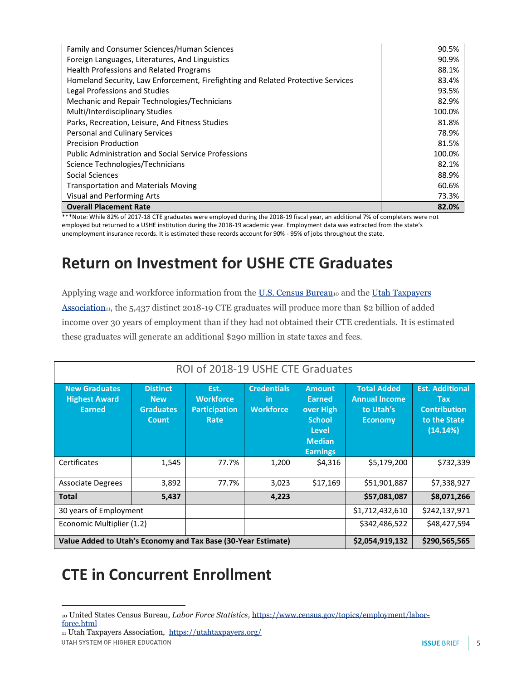| Family and Consumer Sciences/Human Sciences                                      | 90.5%  |
|----------------------------------------------------------------------------------|--------|
| Foreign Languages, Literatures, And Linguistics                                  | 90.9%  |
| <b>Health Professions and Related Programs</b>                                   | 88.1%  |
| Homeland Security, Law Enforcement, Firefighting and Related Protective Services | 83.4%  |
| Legal Professions and Studies                                                    | 93.5%  |
| Mechanic and Repair Technologies/Technicians                                     | 82.9%  |
| Multi/Interdisciplinary Studies                                                  | 100.0% |
| Parks, Recreation, Leisure, And Fitness Studies                                  | 81.8%  |
| Personal and Culinary Services                                                   | 78.9%  |
| <b>Precision Production</b>                                                      | 81.5%  |
| <b>Public Administration and Social Service Professions</b>                      | 100.0% |
| Science Technologies/Technicians                                                 | 82.1%  |
| Social Sciences                                                                  | 88.9%  |
| <b>Transportation and Materials Moving</b>                                       | 60.6%  |
| Visual and Performing Arts                                                       | 73.3%  |
| <b>Overall Placement Rate</b>                                                    | 82.0%  |

\*\*\*Note: While 82% of 2017-18 CTE graduates were employed during the 2018-19 fiscal year, an additional 7% of completers were not employed but returned to a USHE institution during the 2018-19 academic year. Employment data was extracted from the state's unemployment insurance records. It is estimated these records account for 90% - 95% of jobs throughout the state.

### **Return on Investment for USHE CTE Graduates**

Applying wage and workforce information from the [U.S. Census](https://www.census.gov/topics/employment/labor-force.html) Bureau10 and the Utah Taxpayers Association<sub>11</sub>, the 5,437 distinct 2018-19 CTE graduates will produce more than \$2 billion of added income over 30 years of employment than if they had not obtained their CTE credentials. It is estimated these graduates will generate an additional \$290 million in state taxes and fees.

| ROI of 2018-19 USHE CTE Graduates                                                                 |                                                            |                                                          |                                               |                                                                                                     |                                                                           |                                                                                         |
|---------------------------------------------------------------------------------------------------|------------------------------------------------------------|----------------------------------------------------------|-----------------------------------------------|-----------------------------------------------------------------------------------------------------|---------------------------------------------------------------------------|-----------------------------------------------------------------------------------------|
| <b>New Graduates</b><br><b>Highest Award</b><br>Earned                                            | <b>Distinct</b><br><b>New</b><br><b>Graduates</b><br>Count | Est.<br><b>Workforce</b><br><b>Participation</b><br>Rate | <b>Credentials</b><br>-in<br><b>Workforce</b> | <b>Amount</b><br>Earned<br>over High<br><b>School</b><br>Level.<br><b>Median</b><br><b>Earnings</b> | <b>Total Added</b><br><b>Annual Income</b><br>to Utah's<br><b>Economy</b> | <b>Est. Additional</b><br><b>Tax</b><br><b>Contribution</b><br>to the State<br>(14.14%) |
| Certificates                                                                                      | 1,545                                                      | 77.7%                                                    | 1,200                                         | \$4,316                                                                                             | \$5,179,200                                                               | \$732,339                                                                               |
| <b>Associate Degrees</b>                                                                          | 3,892                                                      | 77.7%                                                    | 3,023                                         | \$17,169                                                                                            | \$51,901,887                                                              | \$7,338,927                                                                             |
| Total                                                                                             | 5,437                                                      |                                                          | 4,223                                         |                                                                                                     | \$57,081,087                                                              | \$8,071,266                                                                             |
| 30 years of Employment                                                                            |                                                            |                                                          |                                               |                                                                                                     | \$1,712,432,610                                                           | \$242,137,971                                                                           |
| Economic Multiplier (1.2)                                                                         |                                                            |                                                          |                                               |                                                                                                     | \$342,486,522                                                             | \$48,427,594                                                                            |
| Value Added to Utah's Economy and Tax Base (30-Year Estimate)<br>\$2,054,919,132<br>\$290,565,565 |                                                            |                                                          |                                               |                                                                                                     |                                                                           |                                                                                         |

## **CTE in Concurrent Enrollment**

<sup>11</sup> Utah Taxpayers Association,<https://utahtaxpayers.org/>UTAH SYSTEM OF HIGHER EDUCATION

<sup>10</sup> United States Census Bureau, *Labor Force Statistics,* [https://www.census.gov/topics/employment/labor](https://www.census.gov/topics/employment/labor-force.html)[force.html](https://www.census.gov/topics/employment/labor-force.html)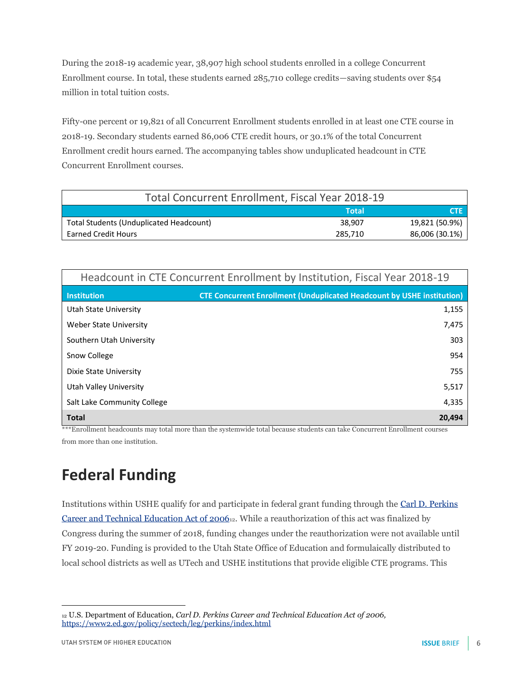During the 2018-19 academic year, 38,907 high school students enrolled in a college Concurrent Enrollment course. In total, these students earned 285,710 college credits—saving students over \$54 million in total tuition costs.

Fifty-one percent or 19,821 of all Concurrent Enrollment students enrolled in at least one CTE course in 2018-19. Secondary students earned 86,006 CTE credit hours, or 30.1% of the total Concurrent Enrollment credit hours earned. The accompanying tables show unduplicated headcount in CTE Concurrent Enrollment courses.

| <b>Total Concurrent Enrollment, Fiscal Year 2018-19</b> |         |                |  |
|---------------------------------------------------------|---------|----------------|--|
|                                                         | Total   | <b>ZCTIEZ</b>  |  |
| Total Students (Unduplicated Headcount)                 | 38.907  | 19,821 (50.9%) |  |
| <b>Earned Credit Hours</b>                              | 285.710 | 86,006 (30.1%) |  |

| Headcount in CTE Concurrent Enrollment by Institution, Fiscal Year 2018-19 |                                                                               |  |
|----------------------------------------------------------------------------|-------------------------------------------------------------------------------|--|
| <b>Institution</b>                                                         | <b>CTE Concurrent Enrollment (Unduplicated Headcount by USHE institution)</b> |  |
| Utah State University                                                      | 1,155                                                                         |  |
| Weber State University                                                     | 7,475                                                                         |  |
| Southern Utah University                                                   | 303                                                                           |  |
| Snow College                                                               | 954                                                                           |  |
| Dixie State University                                                     | 755                                                                           |  |
| Utah Valley University                                                     | 5,517                                                                         |  |
| Salt Lake Community College                                                | 4,335                                                                         |  |
| <b>Total</b>                                                               | 20,494                                                                        |  |

\*\*\*Enrollment headcounts may total more than the systemwide total because students can take Concurrent Enrollment courses from more than one institution.

## **Federal Funding**

Institutions within USHE qualify for and participate in federal grant funding through the [Carl D. Perkins](https://www2.ed.gov/policy/sectech/leg/perkins/index.html)  [Career and Technical Education Act of 2006](https://www2.ed.gov/policy/sectech/leg/perkins/index.html)12. While a reauthorization of this act was finalized by Congress during the summer of 2018, funding changes under the reauthorization were not available until FY 2019-20. Funding is provided to the Utah State Office of Education and formulaically distributed to local school districts as well as UTech and USHE institutions that provide eligible CTE programs. This

<sup>12</sup> U.S. Department of Education, *Carl D. Perkins Career and Technical Education Act of 2006,*  <https://www2.ed.gov/policy/sectech/leg/perkins/index.html>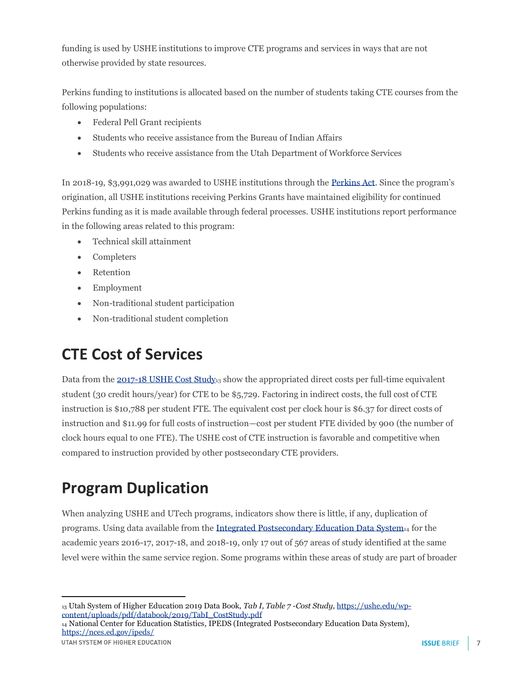funding is used by USHE institutions to improve CTE programs and services in ways that are not otherwise provided by state resources.

Perkins funding to institutions is allocated based on the number of students taking CTE courses from the following populations:

- Federal Pell Grant recipients
- Students who receive assistance from the Bureau of Indian Affairs
- Students who receive assistance from the Utah Department of Workforce Services

In 2018-19, \$3,991,029 was awarded to USHE institutions through the [Perkins Act](https://www2.ed.gov/policy/sectech/leg/perkins/index.html). Since the program's origination, all USHE institutions receiving Perkins Grants have maintained eligibility for continued Perkins funding as it is made available through federal processes. USHE institutions report performance in the following areas related to this program:

- Technical skill attainment
- Completers
- Retention
- Employment
- Non-traditional student participation
- Non-traditional student completion

## **CTE Cost of Services**

Data from the  $2017-18$  USHE Cost Study<sub>13</sub> show the appropriated direct costs per full-time equivalent student (30 credit hours/year) for CTE to be \$5,729. Factoring in indirect costs, the full cost of CTE instruction is \$10,788 per student FTE. The equivalent cost per clock hour is \$6.37 for direct costs of instruction and \$11.99 for full costs of instruction—cost per student FTE divided by 900 (the number of clock hours equal to one FTE). The USHE cost of CTE instruction is favorable and competitive when compared to instruction provided by other postsecondary CTE providers.

# **Program Duplication**

When analyzing USHE and UTech programs, indicators show there is little, if any, duplication of programs. Using data available from the [Integrated Postsecondary Education Data System](https://nces.ed.gov/ipeds/)<sup>14</sup> for the academic years 2016-17, 2017-18, and 2018-19, only 17 out of 567 areas of study identified at the same level were within the same service region. Some programs within these areas of study are part of broader

<sup>14</sup> National Center for Education Statistics, IPEDS (Integrated Postsecondary Education Data System), <https://nces.ed.gov/ipeds/>

<sup>13</sup> Utah System of Higher Education 2019 Data Book, *Tab I, Table 7 -Cost Study,* [https://ushe.edu/wp](https://ushe.edu/wp-content/uploads/pdf/databook/2019/TabI_CostStudy.pdf)[content/uploads/pdf/databook/2019/TabI\\_CostStudy.pdf](https://ushe.edu/wp-content/uploads/pdf/databook/2019/TabI_CostStudy.pdf)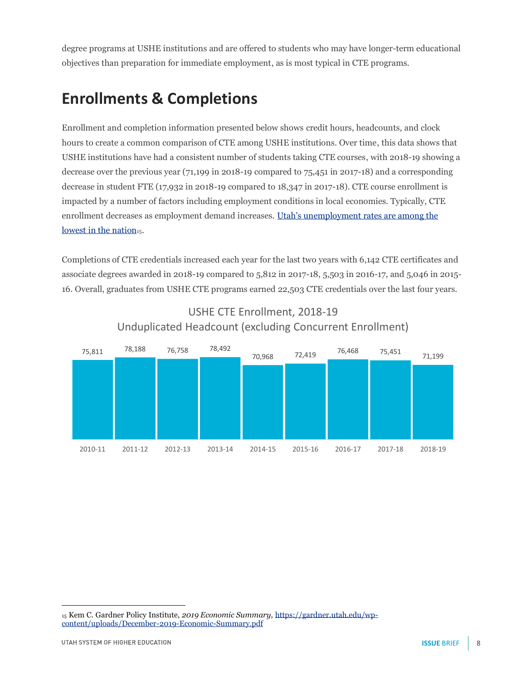degree programs at USHE institutions and are offered to students who may have longer-term educational objectives than preparation for immediate employment, as is most typical in CTE programs.

## **Enrollments & Completions**

Enrollment and completion information presented below shows credit hours, headcounts, and clock hours to create a common comparison of CTE among USHE institutions. Over time, this data shows that USHE institutions have had a consistent number of students taking CTE courses, with 2018-19 showing a decrease over the previous year (71,199 in 2018-19 compared to 75,451 in 2017-18) and a corresponding decrease in student FTE (17,932 in 2018-19 compared to 18,347 in 2017-18). CTE course enrollment is impacted by a number of factors including employment conditions in local economies. Typically, CTE enrollment decreases as employment demand increases. Utah's [unemployment rates are among the](https://gardner.utah.edu/wp-content/uploads/December-2019-Economic-Summary.pdf)  lowest [in the nation](https://gardner.utah.edu/wp-content/uploads/December-2019-Economic-Summary.pdf)<sub>15</sub>.

Completions of CTE credentials increased each year for the last two years with 6,142 CTE certificates and associate degrees awarded in 2018-19 compared to 5,812 in 2017-18, 5,503 in 2016-17, and 5,046 in 2015- 16. Overall, graduates from USHE CTE programs earned 22,503 CTE credentials over the last four years.



#### USHE CTE Enrollment, 2018-19 Unduplicated Headcount (excluding Concurrent Enrollment)

<sup>15</sup> Kem C. Gardner Policy Institute, *2019 Economic Summary,* [https://gardner.utah.edu/wp](https://gardner.utah.edu/wp-content/uploads/December-2019-Economic-Summary.pdf)[content/uploads/December-2019-Economic-Summary.pdf](https://gardner.utah.edu/wp-content/uploads/December-2019-Economic-Summary.pdf)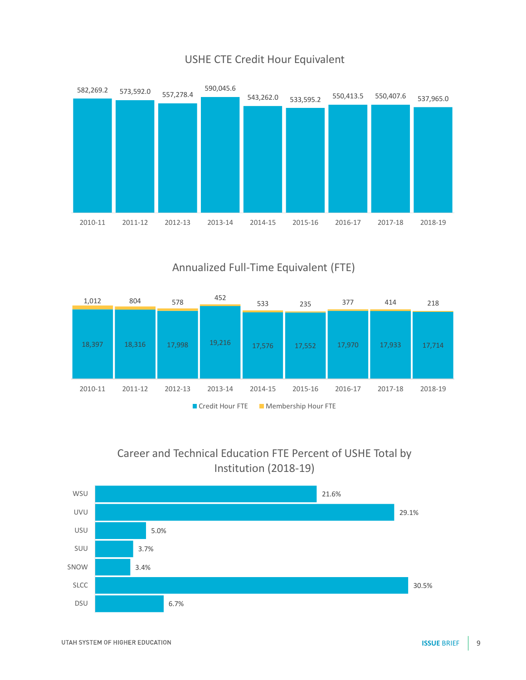

#### USHE CTE Credit Hour Equivalent

Annualized Full-Time Equivalent (FTE)



#### Career and Technical Education FTE Percent of USHE Total by Institution (2018-19)

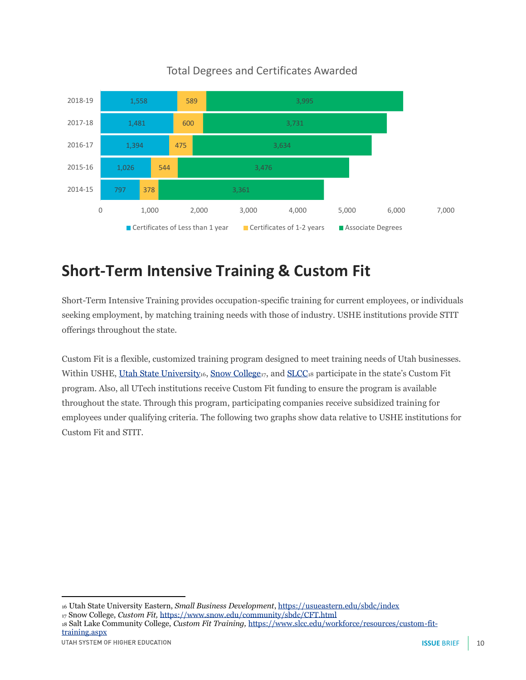

#### Total Degrees and Certificates Awarded

## **Short-Term Intensive Training & Custom Fit**

Short-Term Intensive Training provides occupation-specific training for current employees, or individuals seeking employment, by matching training needs with those of industry. USHE institutions provide STIT offerings throughout the state.

Custom Fit is a flexible, customized training program designed to meet training needs of Utah businesses. Within USHE, [Utah State University](http://usueastern.edu/sbdc/index)<sub>16</sub>, [Snow College](https://www.snow.edu/community/sbdc/CFT.html)<sub>17</sub>, and [SLCC](https://www.slcc.edu/workforce/resources/custom-fit-training.aspx)<sub>18</sub> participate in the state's Custom Fit program. Also, all UTech institutions receive Custom Fit funding to ensure the program is available throughout the state. Through this program, participating companies receive subsidized training for employees under qualifying criteria. The following two graphs show data relative to USHE institutions for Custom Fit and STIT.

<sup>18</sup> Salt Lake Community College, *Custom Fit Training,* [https://www.slcc.edu/workforce/resources/custom-fit](https://www.slcc.edu/workforce/resources/custom-fit-training.aspx)[training.aspx](https://www.slcc.edu/workforce/resources/custom-fit-training.aspx)

<sup>16</sup> Utah State University Eastern, *Small Business Development*[, https://usueastern.edu/sbdc/index](https://usueastern.edu/sbdc/index) 

<sup>17</sup> Snow College, *Custom Fit,* <https://www.snow.edu/community/sbdc/CFT.html>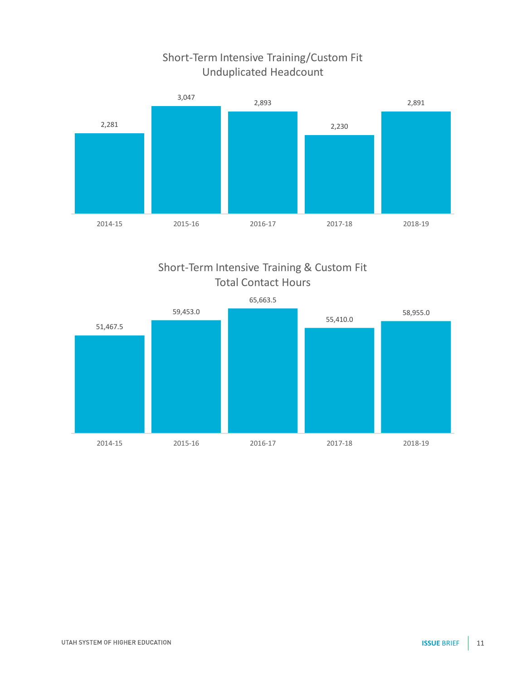#### Short-Term Intensive Training/Custom Fit Unduplicated Headcount



Short-Term Intensive Training & Custom Fit Total Contact Hours

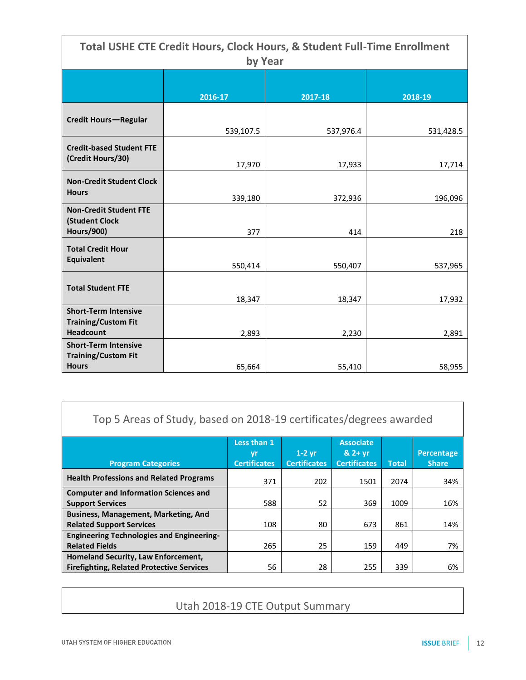| <b>Total USHE CTE Credit Hours, Clock Hours, &amp; Student Full-Time Enrollment</b><br>by Year |           |           |           |  |  |  |
|------------------------------------------------------------------------------------------------|-----------|-----------|-----------|--|--|--|
|                                                                                                |           |           |           |  |  |  |
|                                                                                                | 2016-17   | 2017-18   | 2018-19   |  |  |  |
| <b>Credit Hours-Regular</b>                                                                    | 539,107.5 | 537,976.4 | 531,428.5 |  |  |  |
| <b>Credit-based Student FTE</b><br>(Credit Hours/30)                                           | 17,970    | 17,933    | 17,714    |  |  |  |
| <b>Non-Credit Student Clock</b><br><b>Hours</b>                                                | 339,180   | 372,936   | 196,096   |  |  |  |
| <b>Non-Credit Student FTE</b><br>(Student Clock<br><b>Hours/900)</b>                           | 377       | 414       | 218       |  |  |  |
| <b>Total Credit Hour</b><br><b>Equivalent</b>                                                  | 550,414   | 550,407   | 537,965   |  |  |  |
| <b>Total Student FTE</b>                                                                       | 18,347    | 18,347    | 17,932    |  |  |  |
| <b>Short-Term Intensive</b><br><b>Training/Custom Fit</b><br><b>Headcount</b>                  | 2,893     | 2,230     | 2,891     |  |  |  |
| <b>Short-Term Intensive</b><br><b>Training/Custom Fit</b><br><b>Hours</b>                      | 65,664    | 55,410    | 58,955    |  |  |  |

| Top 5 Areas of Study, based on 2018-19 certificates/degrees awarded |                                                |  |
|---------------------------------------------------------------------|------------------------------------------------|--|
|                                                                     | $\mathbf{M}$ and $\mathbf{M}$ and $\mathbf{M}$ |  |

|                                                  | Less than 1<br>yr   | $1-2$ vr            | <b>Associate</b><br>$82 + yr$ |              | Percentage   |
|--------------------------------------------------|---------------------|---------------------|-------------------------------|--------------|--------------|
| <b>Program Categories</b>                        | <b>Certificates</b> | <b>Certificates</b> | <b>Certificates</b>           | <b>Total</b> | <b>Share</b> |
| <b>Health Professions and Related Programs</b>   | 371                 | 202                 | 1501                          | 2074         | 34%          |
| <b>Computer and Information Sciences and</b>     |                     |                     |                               |              |              |
| <b>Support Services</b>                          | 588                 | 52                  | 369                           | 1009         | 16%          |
| <b>Business, Management, Marketing, And</b>      |                     |                     |                               |              |              |
| <b>Related Support Services</b>                  | 108                 | 80                  | 673                           | 861          | 14%          |
| <b>Engineering Technologies and Engineering-</b> |                     |                     |                               |              |              |
| <b>Related Fields</b>                            | 265                 | 25                  | 159                           | 449          | 7%           |
| Homeland Security, Law Enforcement,              |                     |                     |                               |              |              |
| <b>Firefighting, Related Protective Services</b> | 56                  | 28                  | 255                           | 339          | 6%           |

#### Utah 2018-19 CTE Output Summary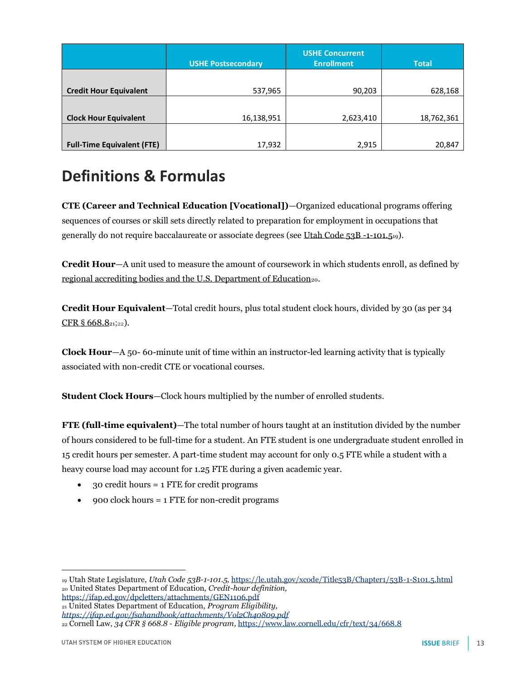|                                   | <b>USHE Postsecondary</b> | <b>USHE Concurrent</b><br><b>Enrollment</b> | <b>Total</b> |
|-----------------------------------|---------------------------|---------------------------------------------|--------------|
|                                   |                           |                                             |              |
| <b>Credit Hour Equivalent</b>     | 537,965                   | 90,203                                      | 628,168      |
|                                   |                           |                                             |              |
| <b>Clock Hour Equivalent</b>      | 16,138,951                | 2,623,410                                   | 18,762,361   |
|                                   |                           |                                             |              |
| <b>Full-Time Equivalent (FTE)</b> | 17,932                    | 2,915                                       | 20,847       |

#### **Definitions & Formulas**

**CTE (Career and Technical Education [Vocational])**—Organized educational programs offering sequences of courses or skill sets directly related to preparation for employment in occupations that generally do not require baccalaureate or associate degrees (se[e Utah Code 53B -1-101.5](https://le.utah.gov/xcode/Title53B/Chapter1/53B-1-S105.html)19).

**Credit Hour**—A unit used to measure the amount of coursework in which students enroll, as defined by [regional accrediting bodies and the U.S. Department of Education](https://ifap.ed.gov/dpcletters/attachments/GEN1106.pdf)<sub>20</sub>.

**Credit Hour Equivalent**—Total credit hours, plus total student clock hours, divided by 30 (as per 34 [CFR § 668.8](https://ifap.ed.gov/fsahandbook/attachments/Vol2Ch40809.pdf)21;22).

**Clock Hour**—A 50- 60-minute unit of time within an instructor-led learning activity that is typically associated with non-credit CTE or vocational courses.

**Student Clock Hours**—Clock hours multiplied by the number of enrolled students.

**FTE (full-time equivalent)**—The total number of hours taught at an institution divided by the number of hours considered to be full-time for a student. An FTE student is one undergraduate student enrolled in 15 credit hours per semester. A part-time student may account for only 0.5 FTE while a student with a heavy course load may account for 1.25 FTE during a given academic year.

- 30 credit hours = 1 FTE for credit programs
- 900 clock hours = 1 FTE for non-credit programs

<sup>21</sup> United States Department of Education, *Program Eligibility,* 

*<https://ifap.ed.gov/fsahandbook/attachments/Vol2Ch40809.pdf>*

<sup>22</sup> Cornell Law, *34 CFR § 668.8 - Eligible program,* <https://www.law.cornell.edu/cfr/text/34/668.8>

<sup>19</sup> Utah State Legislature, *Utah Code 53B-1-101.5,* <https://le.utah.gov/xcode/Title53B/Chapter1/53B-1-S101.5.html> <sup>20</sup> United States Department of Education, *Credit-hour definition,*  <https://ifap.ed.gov/dpcletters/attachments/GEN1106.pdf>